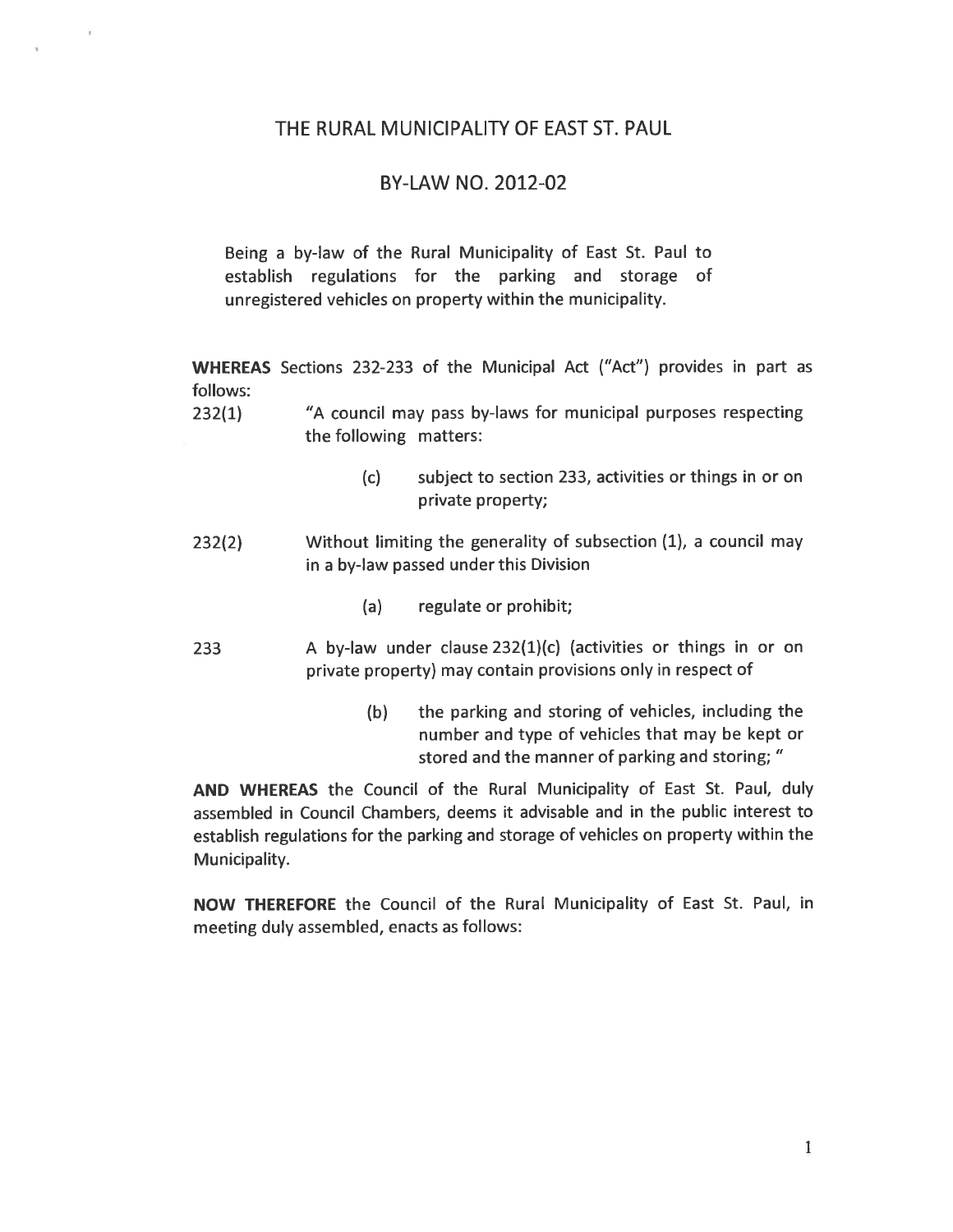## THE RURAL MUNICIPALITY OF EAST ST. PAUL

# BY-LAW NO. 2012-02

Being a by-law of the Rural Municipality of East St. Paul to establish regulations for the parking and storage of unregistered vehicles on property within the municipality.

WHEREAS Sections 232-233 of the Municipal Act ("Act") provides in part as follows:

- 232(1) "A council may pass by-laws for municipal purposes respecting the following matters:
	- (c) subject to section 233, activities or things in or on private property;
- 232(2) Without limiting the generality of subsection (1), a council may in a by-law passed under this Division
	- (a) regulate or prohibit;
- 233 <sup>A</sup> by-law under clause 232(1)(c) (activities or things in or on private property) may contain provisions only in respect of
	- (b) the parking and storing of vehicles, including the number and type of vehicles that may be kept or stored and the manner of parking and storing;

AND WHEREAS the Council of the Rural Municipality of East St. Paul, duly assembled in Council Chambers, deems it advisable and in the public interest to establish regulations for the parking and storage of vehicles on property within the Municipality.

NOW THEREFORE the Council of the Rural Municipality of East St. Paul, in meeting duly assembled, enacts as follows: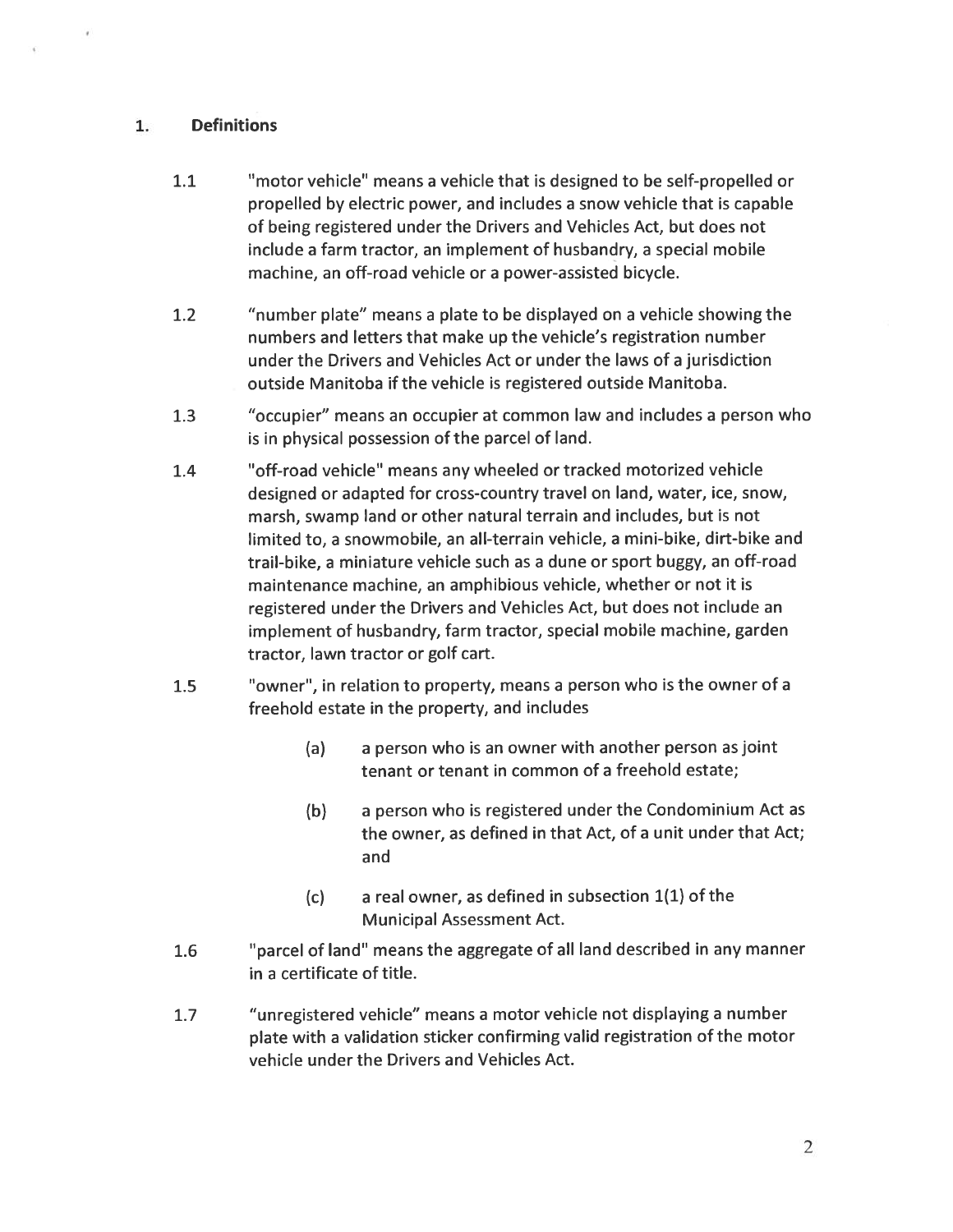# 1. Definitions

- 1.1 "motor vehicle" means a vehicle that is designed to be self-propelled or propelled by electric power, and includes <sup>a</sup> snow vehicle that is capable of being registered under the Drivers and Vehicles Act, but does not include a farm tractor, an implement of husbandry, a special mobile machine, an off-road vehicle or a power-assisted bicycle.
- 1.2 "number plate" means <sup>a</sup> plate to be displayed on a vehicle showing the numbers and letters that make up the vehicle's registration number under the Drivers and Vehicles Act or under the laws of a jurisdiction outside Manitoba if the vehicle is registered outside Manitoba.
- 1.3 "occupier" means an occupier at common law and includes a person who is in physical possession of the parcel of land.
- 1.4 "off-road vehicle" means any wheeled or tracked motorized vehicle designed or adapted for cross-country travel on land, water, ice, snow, marsh, swamp land or other natural terrain and includes, but is not limited to, a snowmobile, an all-terrain vehicle, a mini-bike, dirt-bike and trail-bike, a miniature vehicle such as a dune or sport buggy, an off-road maintenance machine, an amphibious vehicle, whether or not it is registered under the Drivers and Vehicles Act, but does not include an implement of husbandry, farm tractor, special mobile machine, garden tractor, lawn tractor or golf cart.
- 1.5 "owner", in relation to property, means <sup>a</sup> person who is the owner of a freehold estate in the property, and includes
	- (a) <sup>a</sup> person who is an owner with another person as joint tenant or tenant in common of <sup>a</sup> freehold estate;
	- (b) <sup>a</sup> person who is registered under the Condominium Act as the owner, as defined in that Act, of a unit under that Act; and
	- $(c)$  a real owner, as defined in subsection  $1(1)$  of the Municipal Assessment Act.
- 1.6 "parcel of land" means the aggregate of all land described in any manner in a certificate of title.
- 1.7 "unregistered vehicle" means <sup>a</sup> motor vehicle not displaying <sup>a</sup> number plate with <sup>a</sup> validation sticker confirming valid registration of the motor vehicle under the Drivers and Vehicles Act.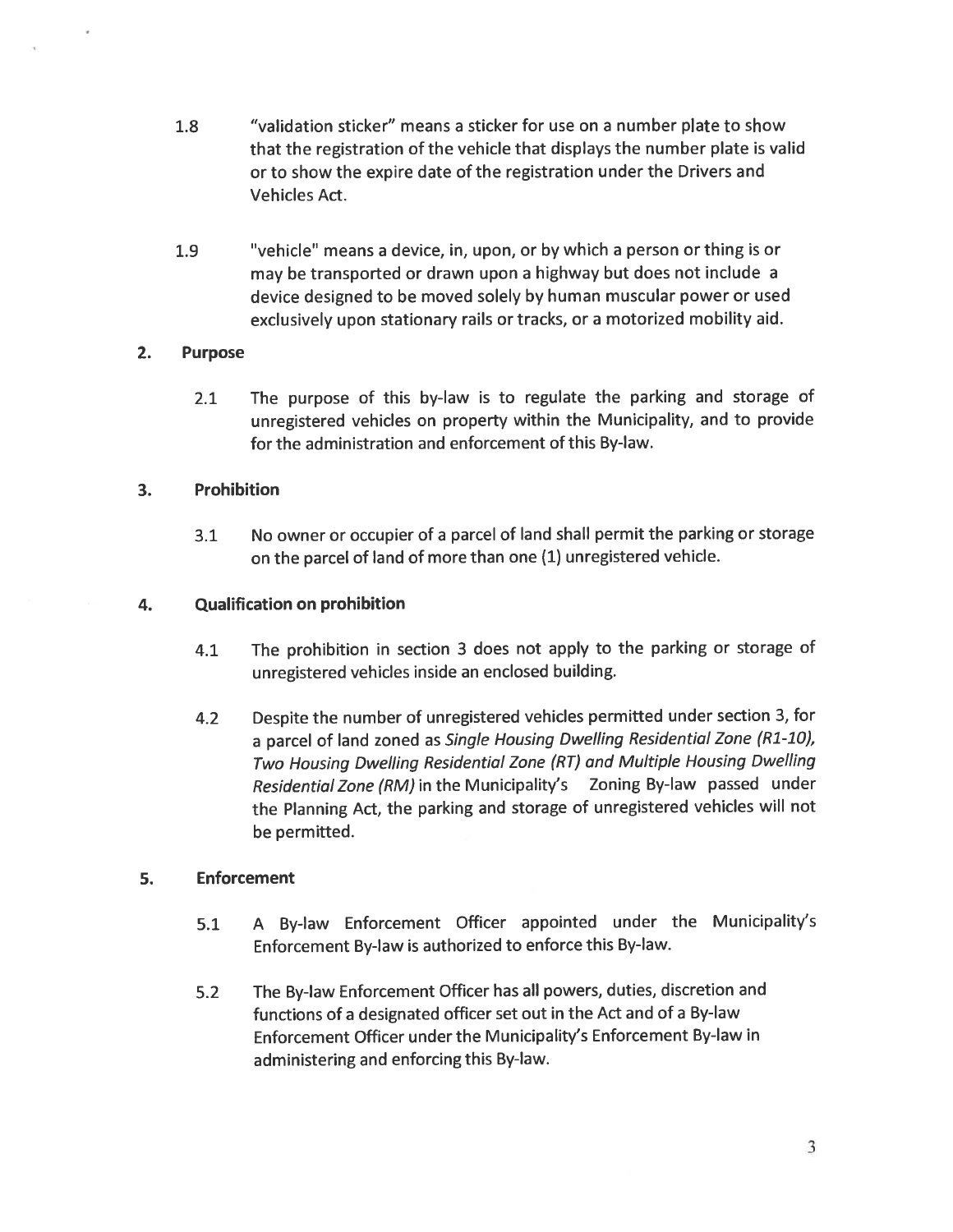- 1.8 "validation sticker" means a sticker for use on a number plate to show that the registration of the vehicle that displays the number plate is valid or to show the expire date of the registration under the Drivers and Vehicles Act.
- 1.9 "vehicle' means a device, in, upon, or by which a person or thing is or may be transported or drawn upon a highway but does not include a device designed to be moved solely by human muscular power or used exclusively upon stationary rails or tracks, or a motorized mobility aid.

## 2. Purpose

2.1 The purpose of this by-law is to regulate the parking and storage of unregistered vehicles on property within the Municipality, and to provide for the administration and enforcement of this By-law.

## 3. Prohibition

3.1 No owner or occupier of <sup>a</sup> parcel of land shall permit the parking or storage on the parcel of land of more than one (1) unregistered vehicle.

## 4. Qualification on prohibition

- 4.1 The prohibition in section <sup>3</sup> does not apply to the parking or storage of unregistered vehicles inside an enclosed building.
- 4.2 Despite the number of unregistered vehicles permitted under section 3, for a parcel of land zoned as Single Housing Dwelling Residential Zone (R1-10), Two Housing Dwelling Residential Zone (RT) and Multiple Housing Dwelling Residential Zone (RM) in the Municipality's Zoning By-law passed under the Planning Act, the parking and storage of unregistered vehicles will not be permitted.

## 5. Enforcement

- 5.1 <sup>A</sup> By-law Enforcement Officer appointed under the Municipality's Enforcement By-law is authorized to enforce this By-law.
- 5.2 The By-law Enforcement Officer has all powers, duties, discretion and functions of <sup>a</sup> designated officer set out in the Act and of a By-law Enforcement Officer under the Municipality's Enforcement By-law in administering and enforcing this By-law.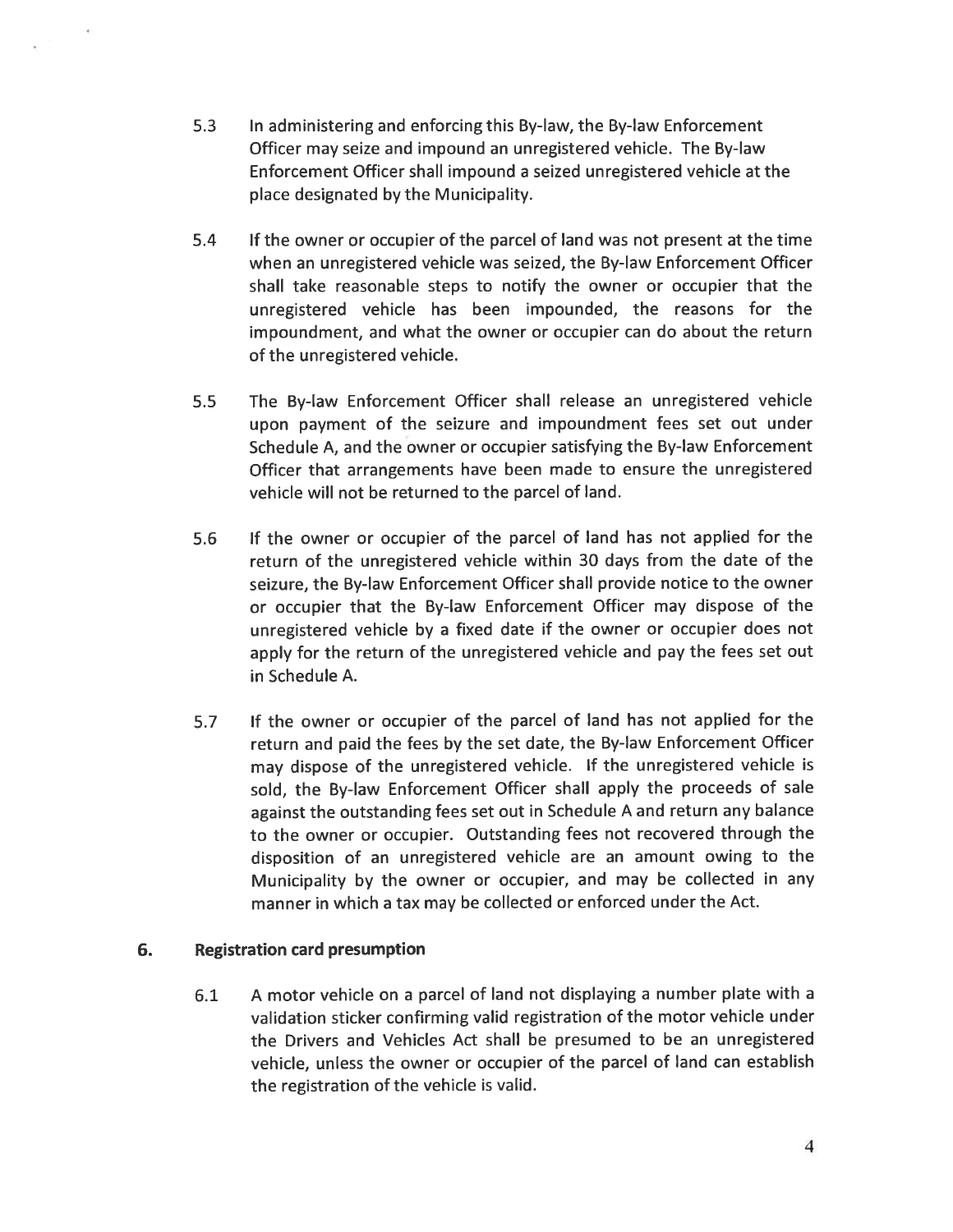- 5.3 In administering and enforcing this By-law, the By-law Enforcement Officer may seize and impound an unregistered vehicle. The By-law Enforcement Officer shall impound a seized unregistered vehicle at the place designated by the Municipality.
- 5.4 If the owner or occupier of the parcel of land was not present at the time when an unregistered vehicle was seized, the By-law Enforcement Officer shall take reasonable steps to notify the owner or occupier that the unregistered vehicle has been impounded, the reasons for the impoundment, and what the owner or occupier can do about the return of the unregistered vehicle.
- 5.5 The By-law Enforcement Officer shall release an unregistered vehicle upon payment of the seizure and impoundment fees set out under Schedule A, and the owner or occupier satisfying the By-law Enforcement Officer that arrangements have been made to ensure the unregistered vehicle will not be returned to the parcel of land.
- 5.6 If the owner or occupier of the parcel of land has not applied for the return of the unregistered vehicle within 30 days from the date of the seizure, the By-law Enforcement Officer shall provide notice to the owner or occupier that the By-law Enforcement Officer may dispose of the unregistered vehicle by <sup>a</sup> fixed date if the owner or occupier does not apply for the return of the unregistered vehicle and pay the fees set out in Schedule A.
- 5.7 If the owner or occupier of the parcel of land has not applied for the return and paid the fees by the set date, the By-law Enforcement Officer may dispose of the unregistered vehicle. If the unregistered vehicle is sold, the By-law Enforcement Officer shall apply the proceeds of sale against the outstanding fees set out in Schedule <sup>A</sup> and return any balance to the owner or occupier. Outstanding fees not recovered through the disposition of an unregistered vehicle are an amount owing to the Municipality by the owner or occupier, and may be collected in any manner in which <sup>a</sup> tax may be collected or enforced under the Act.

## 6. Registration card presumption

6.1 <sup>A</sup> motor vehicle on <sup>a</sup> parcel of land not displaying <sup>a</sup> number plate with <sup>a</sup> validation sticker confirming valid registration of the motor vehicle under the Drivers and Vehicles Act shall be presumed to be an unregistered vehicle, unless the owner or occupier of the parcel of land can establish the registration of the vehicle is valid.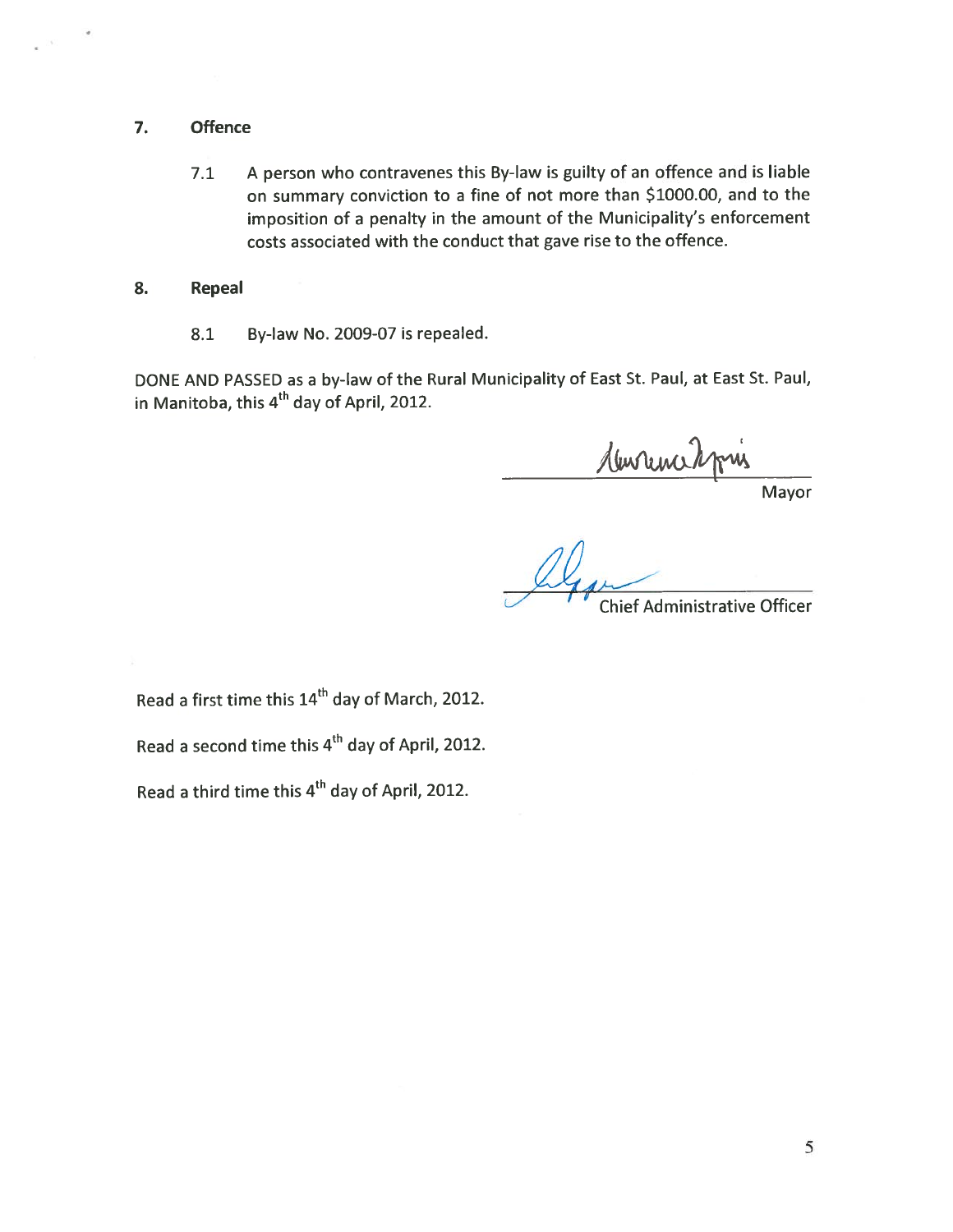#### 7. Offence

7.1 <sup>A</sup> person who contravenes this By-law is guilty of an offence and is liable on summary conviction to <sup>a</sup> fine of not more than \$1000.00, and to the imposition of <sup>a</sup> penalty in the amount of the Municipality's enforcement costs associated with the conduct that gave rise to the offence.

#### 8. Repeal

8.1 By-law No. 2009-07 is repealed.

DONE AND PASSED as <sup>a</sup> by-law of the Rural Municipality of East St. Paul, at East St. Paul, in Manitoba, this  $4<sup>th</sup>$  day of April, 2012.

<u>Murrence</u>

Mayor

Chief Administrative Officer

Read a first time this 14<sup>th</sup> day of March, 2012.

Read a second time this 4<sup>th</sup> day of April, 2012.

Read a third time this 4<sup>th</sup> day of April, 2012.